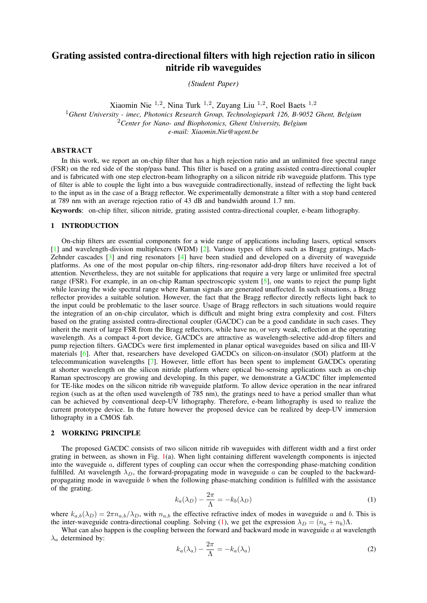# Grating assisted contra-directional filters with high rejection ratio in silicon nitride rib waveguides

*(Student Paper)*

Xiaomin Nie  $^{1,2}$ , Nina Turk  $^{1,2}$ , Zuyang Liu  $^{1,2}$ , Roel Baets  $^{1,2}$ 

<sup>1</sup>*Ghent University - imec, Photonics Research Group, Technologiepark 126, B-9052 Ghent, Belgium* <sup>2</sup>*Center for Nano- and Biophotonics, Ghent University, Belgium e-mail: Xiaomin.Nie@ugent.be*

### ABSTRACT

In this work, we report an on-chip filter that has a high rejection ratio and an unlimited free spectral range (FSR) on the red side of the stop/pass band. This filter is based on a grating assisted contra-directional coupler and is fabricated with one step electron-beam lithography on a silicon nitride rib waveguide platform. This type of filter is able to couple the light into a bus waveguide contradirectionally, instead of reflecting the light back to the input as in the case of a Bragg reflector. We experimentally demonstrate a filter with a stop band centered at 789 nm with an average rejection ratio of 43 dB and bandwidth around 1.7 nm.

Keywords: on-chip filter, silicon nitride, grating assisted contra-directional coupler, e-beam lithography.

#### 1 INTRODUCTION

On-chip filters are essential components for a wide range of applications including lasers, optical sensors [\[1\]](#page-2-0) and wavelength-division multiplexers (WDM) [\[2\]](#page-2-1). Various types of filters such as Bragg gratings, Mach-Zehnder cascades [\[3\]](#page-2-2) and ring resonators [\[4\]](#page-2-3) have been studied and developed on a diversity of waveguide platforms. As one of the most popular on-chip filters, ring-resonator add-drop filters have received a lot of attention. Nevertheless, they are not suitable for applications that require a very large or unlimited free spectral range (FSR). For example, in an on-chip Raman spectroscopic system [\[5\]](#page-2-4), one wants to reject the pump light while leaving the wide spectral range where Raman signals are generated unaffected. In such situations, a Bragg reflector provides a suitable solution. However, the fact that the Bragg reflector directly reflects light back to the input could be problematic to the laser source. Usage of Bragg reflectors in such situations would require the integration of an on-chip circulator, which is difficult and might bring extra complexity and cost. Filters based on the grating assisted contra-directional coupler (GACDC) can be a good candidate in such cases. They inherit the merit of large FSR from the Bragg reflectors, while have no, or very weak, reflection at the operating wavelength. As a compact 4-port device, GACDCs are attractive as wavelength-selective add-drop filters and pump rejection filters. GACDCs were first implemented in planar optical waveguides based on silica and III-V materials [\[6\]](#page-2-5). After that, researchers have developed GACDCs on silicon-on-insulator (SOI) platform at the telecommunication wavelengths [\[7\]](#page-2-6). However, little effort has been spent to implement GACDCs operating at shorter wavelength on the silicon nitride platform where optical bio-sensing applications such as on-chip Raman spectroscopy are growing and developing. In this paper, we demonstrate a GACDC filter implemented for TE-like modes on the silicon nitride rib waveguide platform. To allow device operation in the near infrared region (such as at the often used wavelength of 785 nm), the gratings need to have a period smaller than what can be achieved by conventional deep-UV lithography. Therefore, e-beam lithography is used to realize the current prototype device. In the future however the proposed device can be realized by deep-UV immersion lithography in a CMOS fab.

# 2 WORKING PRINCIPLE

The proposed GACDC consists of two silicon nitride rib waveguides with different width and a first order grating in between, as shown in Fig. [1\(](#page-1-0)a). When light containing different wavelength components is injected into the waveguide a, different types of coupling can occur when the corresponding phase-matching condition fulfilled. At wavelength  $\lambda_D$ , the forward-propagating mode in waveguide a can be coupled to the backwardpropagating mode in waveguide b when the following phase-matching condition is fulfilled with the assistance of the grating.

<span id="page-0-0"></span>
$$
k_a(\lambda_D) - \frac{2\pi}{\Lambda} = -k_b(\lambda_D) \tag{1}
$$

where  $k_{a,b}(\lambda_D) = 2\pi n_{a,b}/\lambda_D$ , with  $n_{a,b}$  the effective refractive index of modes in waveguide a and b. This is the inter-waveguide contra-directional coupling. Solving [\(1\)](#page-0-0), we get the expression  $\lambda_D = (n_a + n_b)\Lambda$ .

What can also happen is the coupling between the forward and backward mode in waveguide a at wavelength  $\lambda_a$  determined by:

$$
k_a(\lambda_a) - \frac{2\pi}{\Lambda} = -k_a(\lambda_a) \tag{2}
$$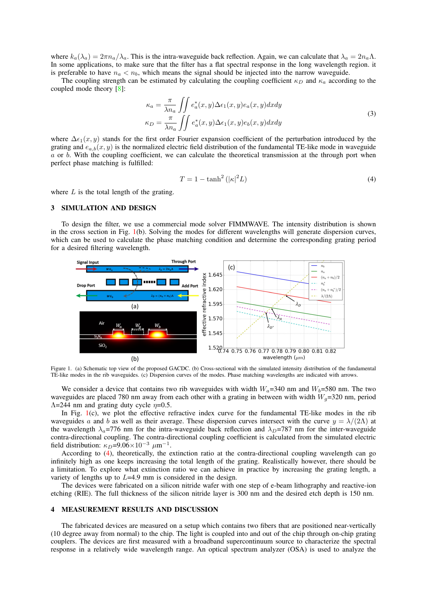where  $k_a(\lambda_a) = 2\pi n_a/\lambda_a$ . This is the intra-waveguide back reflection. Again, we can calculate that  $\lambda_a = 2n_a\Lambda$ . In some applications, to make sure that the filter has a flat spectral response in the long wavelength region. it is preferable to have  $n_a < n_b$ , which means the signal should be injected into the narrow waveguide.

The coupling strength can be estimated by calculating the coupling coefficient  $\kappa_D$  and  $\kappa_a$  according to the coupled mode theory [\[8\]](#page-2-7):

$$
\kappa_a = \frac{\pi}{\lambda n_a} \iint e_a^*(x, y) \Delta \epsilon_1(x, y) e_a(x, y) dx dy
$$
  
\n
$$
\kappa_D = \frac{\pi}{\lambda n_a} \iint e_a^*(x, y) \Delta \epsilon_1(x, y) e_b(x, y) dx dy
$$
\n(3)

where  $\Delta \epsilon_1(x, y)$  stands for the first order Fourier expansion coefficient of the perturbation introduced by the grating and  $e_{a,b}(x, y)$  is the normalized electric field distribution of the fundamental TE-like mode in waveguide a or b. With the coupling coefficient, we can calculate the theoretical transmission at the through port when perfect phase matching is fulfilled:

<span id="page-1-1"></span>
$$
T = 1 - \tanh^2\left(|\kappa|^2 L\right) \tag{4}
$$

where  $L$  is the total length of the grating.

# 3 SIMULATION AND DESIGN

To design the filter, we use a commercial mode solver FIMMWAVE. The intensity distribution is shown in the cross section in Fig. [1\(](#page-1-0)b). Solving the modes for different wavelengths will generate dispersion curves, which can be used to calculate the phase matching condition and determine the corresponding grating period for a desired filtering wavelength.



<span id="page-1-0"></span>Figure 1. (a) Schematic top view of the proposed GACDC. (b) Cross-sectional with the simulated intensity distribution of the fundamental TE-like modes in the rib waveguides. (c) Dispersion curves of the modes. Phase matching wavelengths are indicated with arrows.

We consider a device that contains two rib waveguides with width  $W_a=340$  nm and  $W_b=580$  nm. The two waveguides are placed 780 nm away from each other with a grating in between with width  $W<sub>a</sub>=320$  nm, period  $\Lambda$ =244 nm and grating duty cycle  $\eta$ =0.5.

In Fig. [1\(](#page-1-0)c), we plot the effective refractive index curve for the fundamental TE-like modes in the rib waveguides a and b as well as their average. These dispersion curves intersect with the curve  $y = \lambda/(2\Lambda)$  at the wavelength  $\lambda_a$ =776 nm for the intra-waveguide back reflection and  $\lambda_D$ =787 nm for the inter-waveguide contra-directional coupling. The contra-directional coupling coefficient is calculated from the simulated electric field distribution:  $\kappa_D = 9.06 \times 10^{-3} \mu m^{-1}$ .

According to [\(4\)](#page-1-1), theoretically, the extinction ratio at the contra-directional coupling wavelength can go infinitely high as one keeps increasing the total length of the grating. Realistically however, there should be a limitation. To explore what extinction ratio we can achieve in practice by increasing the grating length, a variety of lengths up to L=4.9 mm is considered in the design.

The devices were fabricated on a silicon nitride wafer with one step of e-beam lithography and reactive-ion etching (RIE). The full thickness of the silicon nitride layer is 300 nm and the desired etch depth is 150 nm.

# 4 MEASUREMENT RESULTS AND DISCUSSION

The fabricated devices are measured on a setup which contains two fibers that are positioned near-vertically (10 degree away from normal) to the chip. The light is coupled into and out of the chip through on-chip grating couplers. The devices are first measured with a broadband supercontinuum source to characterize the spectral response in a relatively wide wavelength range. An optical spectrum analyzer (OSA) is used to analyze the